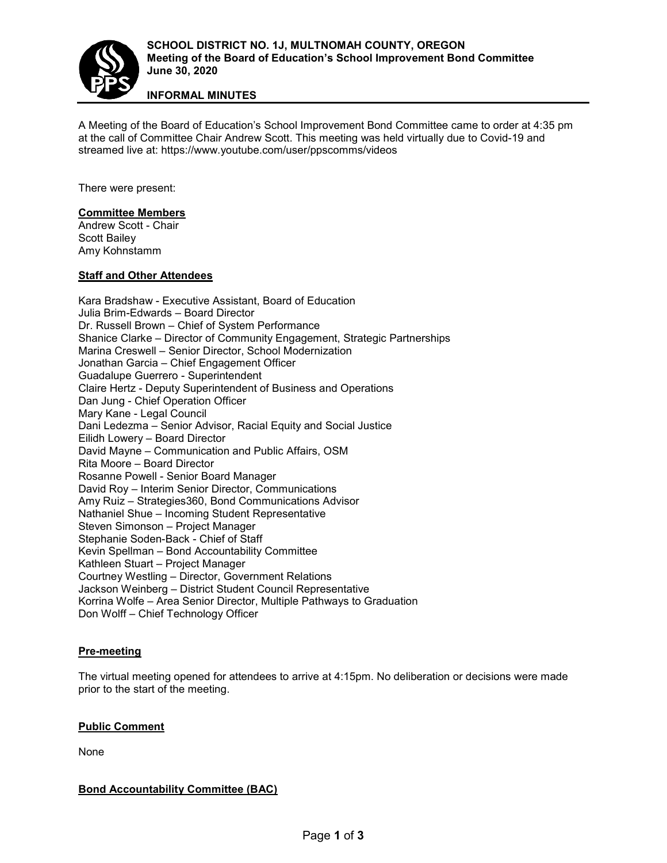

# **INFORMAL MINUTES**

A Meeting of the Board of Education's School Improvement Bond Committee came to order at 4:35 pm at the call of Committee Chair Andrew Scott. This meeting was held virtually due to Covid-19 and streamed live at: https://www.youtube.com/user/ppscomms/videos

There were present:

## **Committee Members**

Andrew Scott - Chair Scott Bailey Amy Kohnstamm

## **Staff and Other Attendees**

Kara Bradshaw - Executive Assistant, Board of Education Julia Brim-Edwards – Board Director Dr. Russell Brown – Chief of System Performance Shanice Clarke – Director of Community Engagement, Strategic Partnerships Marina Creswell – Senior Director, School Modernization Jonathan Garcia – Chief Engagement Officer Guadalupe Guerrero - Superintendent Claire Hertz - Deputy Superintendent of Business and Operations Dan Jung - Chief Operation Officer Mary Kane - Legal Council Dani Ledezma – Senior Advisor, Racial Equity and Social Justice Eilidh Lowery – Board Director David Mayne – Communication and Public Affairs, OSM Rita Moore – Board Director Rosanne Powell - Senior Board Manager David Roy – Interim Senior Director, Communications Amy Ruiz – Strategies360, Bond Communications Advisor Nathaniel Shue – Incoming Student Representative Steven Simonson – Project Manager Stephanie Soden-Back - Chief of Staff Kevin Spellman – Bond Accountability Committee Kathleen Stuart – Project Manager Courtney Westling – Director, Government Relations Jackson Weinberg – District Student Council Representative Korrina Wolfe – Area Senior Director, Multiple Pathways to Graduation Don Wolff – Chief Technology Officer

## **Pre-meeting**

The virtual meeting opened for attendees to arrive at 4:15pm. No deliberation or decisions were made prior to the start of the meeting.

## **Public Comment**

None

## **Bond Accountability Committee (BAC)**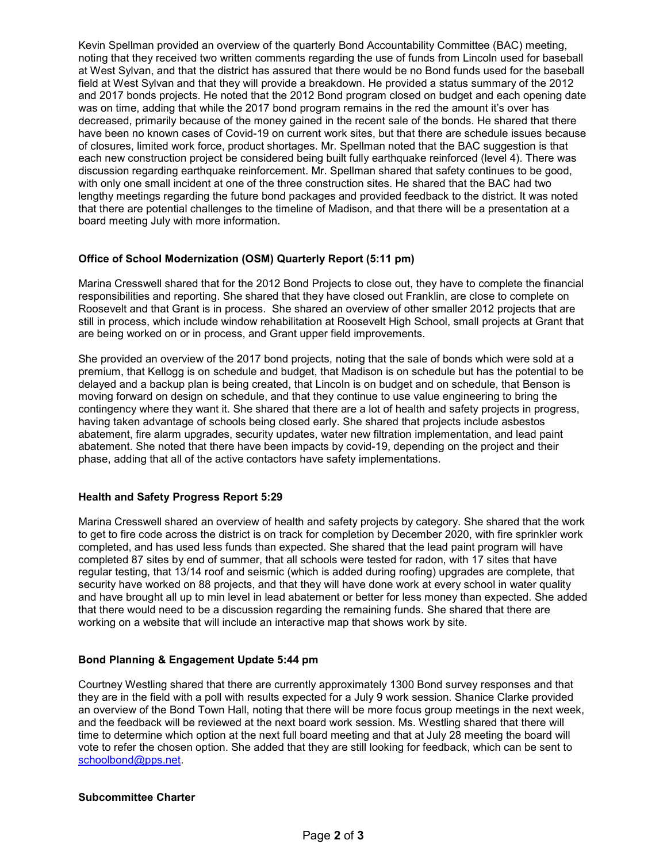Kevin Spellman provided an overview of the quarterly Bond Accountability Committee (BAC) meeting, noting that they received two written comments regarding the use of funds from Lincoln used for baseball at West Sylvan, and that the district has assured that there would be no Bond funds used for the baseball field at West Sylvan and that they will provide a breakdown. He provided a status summary of the 2012 and 2017 bonds projects. He noted that the 2012 Bond program closed on budget and each opening date was on time, adding that while the 2017 bond program remains in the red the amount it's over has decreased, primarily because of the money gained in the recent sale of the bonds. He shared that there have been no known cases of Covid-19 on current work sites, but that there are schedule issues because of closures, limited work force, product shortages. Mr. Spellman noted that the BAC suggestion is that each new construction project be considered being built fully earthquake reinforced (level 4). There was discussion regarding earthquake reinforcement. Mr. Spellman shared that safety continues to be good, with only one small incident at one of the three construction sites. He shared that the BAC had two lengthy meetings regarding the future bond packages and provided feedback to the district. It was noted that there are potential challenges to the timeline of Madison, and that there will be a presentation at a board meeting July with more information.

# **Office of School Modernization (OSM) Quarterly Report (5:11 pm)**

Marina Cresswell shared that for the 2012 Bond Projects to close out, they have to complete the financial responsibilities and reporting. She shared that they have closed out Franklin, are close to complete on Roosevelt and that Grant is in process. She shared an overview of other smaller 2012 projects that are still in process, which include window rehabilitation at Roosevelt High School, small projects at Grant that are being worked on or in process, and Grant upper field improvements.

She provided an overview of the 2017 bond projects, noting that the sale of bonds which were sold at a premium, that Kellogg is on schedule and budget, that Madison is on schedule but has the potential to be delayed and a backup plan is being created, that Lincoln is on budget and on schedule, that Benson is moving forward on design on schedule, and that they continue to use value engineering to bring the contingency where they want it. She shared that there are a lot of health and safety projects in progress, having taken advantage of schools being closed early. She shared that projects include asbestos abatement, fire alarm upgrades, security updates, water new filtration implementation, and lead paint abatement. She noted that there have been impacts by covid-19, depending on the project and their phase, adding that all of the active contactors have safety implementations.

## **Health and Safety Progress Report 5:29**

Marina Cresswell shared an overview of health and safety projects by category. She shared that the work to get to fire code across the district is on track for completion by December 2020, with fire sprinkler work completed, and has used less funds than expected. She shared that the lead paint program will have completed 87 sites by end of summer, that all schools were tested for radon, with 17 sites that have regular testing, that 13/14 roof and seismic (which is added during roofing) upgrades are complete, that security have worked on 88 projects, and that they will have done work at every school in water quality and have brought all up to min level in lead abatement or better for less money than expected. She added that there would need to be a discussion regarding the remaining funds. She shared that there are working on a website that will include an interactive map that shows work by site.

# **Bond Planning & Engagement Update 5:44 pm**

Courtney Westling shared that there are currently approximately 1300 Bond survey responses and that they are in the field with a poll with results expected for a July 9 work session. Shanice Clarke provided an overview of the Bond Town Hall, noting that there will be more focus group meetings in the next week, and the feedback will be reviewed at the next board work session. Ms. Westling shared that there will time to determine which option at the next full board meeting and that at July 28 meeting the board will vote to refer the chosen option. She added that they are still looking for feedback, which can be sent to [schoolbond@pps.net.](mailto:schoolbond@pps.net)

## **Subcommittee Charter**